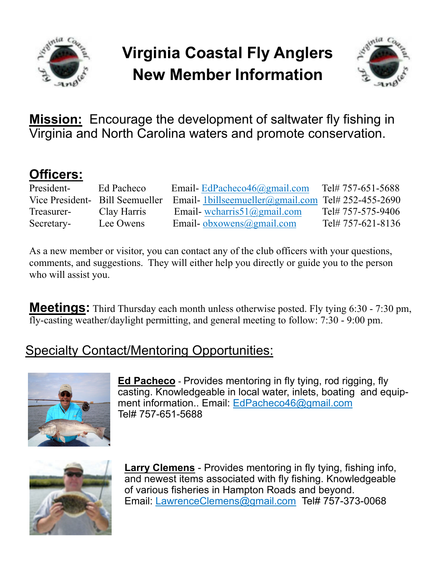

## **Virginia Coastal Fly Anglers New Member Information**



**Mission:** Encourage the development of saltwater fly fishing in Virginia and North Carolina waters and promote conservation.

## **Officers:**

| President- | Ed Pacheco                      | Email-EdPacheco46@gmail.com                       | Tel# 757-651-5688 |
|------------|---------------------------------|---------------------------------------------------|-------------------|
|            | Vice President- Bill Seemueller | Email-1billseemueller@gmail.com Tel# 252-455-2690 |                   |
| Treasurer- | Clay Harris                     | Email-wcharris $51$ ( $Q$ gmail.com               | Tel# 757-575-9406 |
| Secretary- | Lee Owens                       | Email-obxowens@gmail.com                          | Tel# 757-621-8136 |

As a new member or visitor, you can contact any of the club officers with your questions, comments, and suggestions. They will either help you directly or guide you to the person who will assist you.

**Meetings:** Third Thursday each month unless otherwise posted. Fly tying 6:30 - 7:30 pm, fly-casting weather/daylight permitting, and general meeting to follow: 7:30 - 9:00 pm.

## Specialty Contact/Mentoring Opportunities:



**Ed Pacheco** - Provides mentoring in fly tying, rod rigging, fly casting. Knowledgeable in local water, inlets, boating and equipment information.. Email: EdPacheco46@gmail.com Tel# 757-651-5688



**Larry Clemens** - Provides mentoring in fly tying, fishing info, and newest items associated with fly fishing. Knowledgeable of various fisheries in Hampton Roads and beyond. Email: LawrenceClemens@gmail.com Tel# 757-373-0068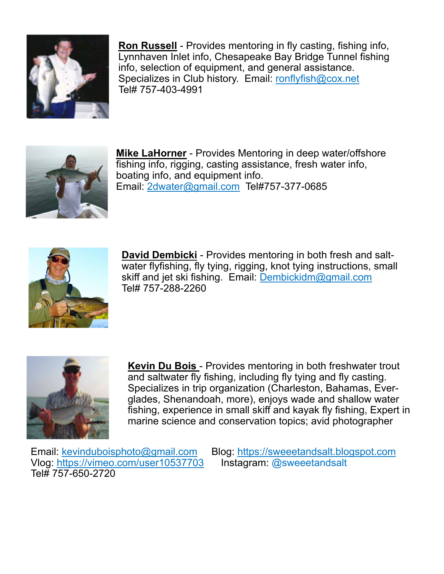

**Ron Russell** - Provides mentoring in fly casting, fishing info, Lynnhaven Inlet info, Chesapeake Bay Bridge Tunnel fishing info, selection of equipment, and general assistance. Specializes in Club history. Email: ronflyfish@cox.net Tel# 757-403-4991



**Mike LaHorner** - Provides Mentoring in deep water/offshore fishing info, rigging, casting assistance, fresh water info, boating info, and equipment info. Email: 2dwater@gmail.com Tel#757-377-0685



**David Dembicki** - Provides mentoring in both fresh and saltwater flyfishing, fly tying, rigging, knot tying instructions, small skiff and jet ski fishing. Email: Dembickidm@gmail.com Tel# 757-288-2260



**Kevin Du Bois** - Provides mentoring in both freshwater trout and saltwater fly fishing, including fly tying and fly casting. Specializes in trip organization (Charleston, Bahamas, Everglades, Shenandoah, more), enjoys wade and shallow water fishing, experience in small skiff and kayak fly fishing, Expert in marine science and conservation topics; avid photographer

Vlog: https://vimeo.com/user10537703 Instagram: @sweeetandsalt Tel# 757-650-2720

Email: kevinduboisphoto@gmail.com Blog: https://sweeetandsalt.blogspot.com